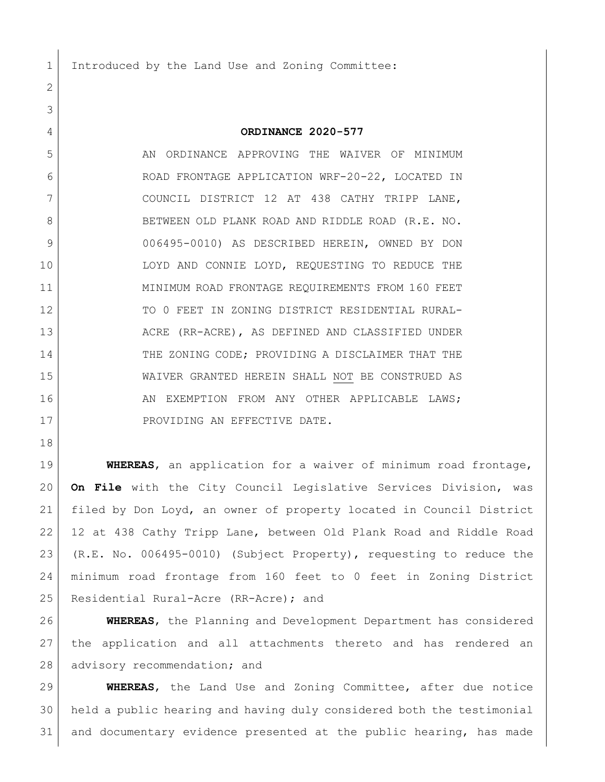Introduced by the Land Use and Zoning Committee:

## **ORDINANCE 2020-577**

 AN ORDINANCE APPROVING THE WAIVER OF MINIMUM ROAD FRONTAGE APPLICATION WRF-20-22, LOCATED IN 7 COUNCIL DISTRICT 12 AT 438 CATHY TRIPP LANE, 8 BETWEEN OLD PLANK ROAD AND RIDDLE ROAD (R.E. NO. 006495-0010) AS DESCRIBED HEREIN, OWNED BY DON LOYD AND CONNIE LOYD, REQUESTING TO REDUCE THE MINIMUM ROAD FRONTAGE REQUIREMENTS FROM 160 FEET 12 TO 0 FEET IN ZONING DISTRICT RESIDENTIAL RURAL-13 ACRE (RR-ACRE), AS DEFINED AND CLASSIFIED UNDER 14 THE ZONING CODE; PROVIDING A DISCLAIMER THAT THE WAIVER GRANTED HEREIN SHALL NOT BE CONSTRUED AS 16 AN EXEMPTION FROM ANY OTHER APPLICABLE LAWS; 17 PROVIDING AN EFFECTIVE DATE.

 **WHEREAS**, an application for a waiver of minimum road frontage, **On File** with the City Council Legislative Services Division, was filed by Don Loyd, an owner of property located in Council District 12 at 438 Cathy Tripp Lane, between Old Plank Road and Riddle Road (R.E. No. 006495-0010) (Subject Property), requesting to reduce the minimum road frontage from 160 feet to 0 feet in Zoning District 25 Residential Rural-Acre (RR-Acre); and

 **WHEREAS**, the Planning and Development Department has considered the application and all attachments thereto and has rendered an 28 advisory recommendation; and

 **WHEREAS**, the Land Use and Zoning Committee, after due notice held a public hearing and having duly considered both the testimonial and documentary evidence presented at the public hearing, has made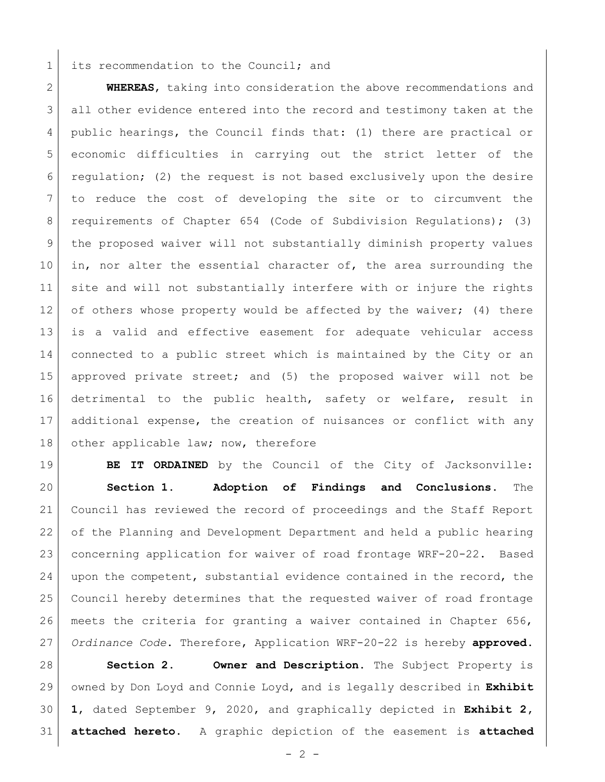## 1 its recommendation to the Council; and

 **WHEREAS**, taking into consideration the above recommendations and all other evidence entered into the record and testimony taken at the 4 | public hearings, the Council finds that: (1) there are practical or economic difficulties in carrying out the strict letter of the regulation; (2) the request is not based exclusively upon the desire to reduce the cost of developing the site or to circumvent the requirements of Chapter 654 (Code of Subdivision Regulations); (3) the proposed waiver will not substantially diminish property values 10 in, nor alter the essential character of, the area surrounding the 11 site and will not substantially interfere with or injure the rights 12 of others whose property would be affected by the waiver; (4) there is a valid and effective easement for adequate vehicular access connected to a public street which is maintained by the City or an approved private street; and (5) the proposed waiver will not be detrimental to the public health, safety or welfare, result in additional expense, the creation of nuisances or conflict with any 18 other applicable law; now, therefore

**BE IT ORDAINED** by the Council of the City of Jacksonville: **Section 1. Adoption of Findings and Conclusions.** The Council has reviewed the record of proceedings and the Staff Report of the Planning and Development Department and held a public hearing concerning application for waiver of road frontage WRF-20-22. Based upon the competent, substantial evidence contained in the record, the Council hereby determines that the requested waiver of road frontage meets the criteria for granting a waiver contained in Chapter 656, *Ordinance Code*. Therefore, Application WRF-20-22 is hereby **approved**.

 **Section 2. Owner and Description.** The Subject Property is owned by Don Loyd and Connie Loyd, and is legally described in **Exhibit 1**, dated September 9, 2020, and graphically depicted in **Exhibit 2, attached hereto**. A graphic depiction of the easement is **attached** 

 $-2 -$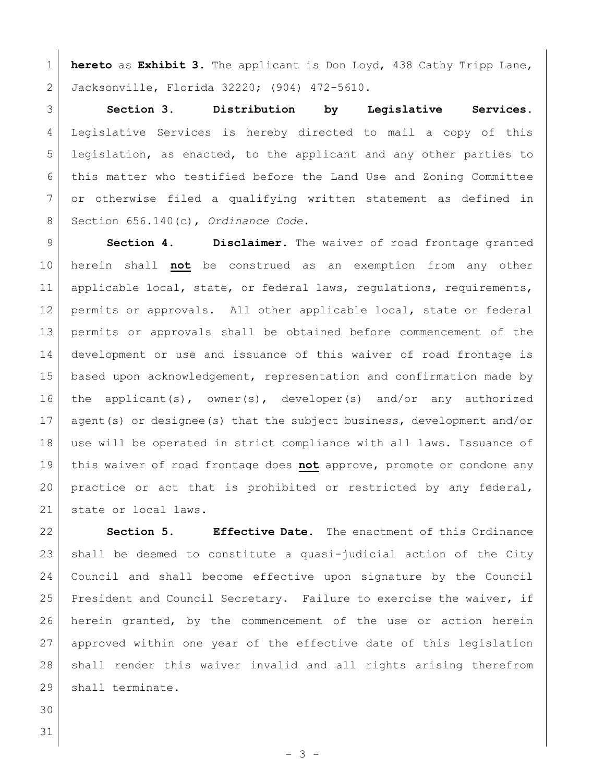**hereto** as **Exhibit 3**. The applicant is Don Loyd, 438 Cathy Tripp Lane, Jacksonville, Florida 32220; (904) 472-5610.

 **Section 3. Distribution by Legislative Services.**  Legislative Services is hereby directed to mail a copy of this 5 legislation, as enacted, to the applicant and any other parties to this matter who testified before the Land Use and Zoning Committee or otherwise filed a qualifying written statement as defined in Section 656.140(c), *Ordinance Code*.

 **Section 4. Disclaimer.** The waiver of road frontage granted herein shall **not** be construed as an exemption from any other 11 applicable local, state, or federal laws, regulations, requirements, 12 | permits or approvals. All other applicable local, state or federal permits or approvals shall be obtained before commencement of the development or use and issuance of this waiver of road frontage is based upon acknowledgement, representation and confirmation made by the applicant(s), owner(s), developer(s) and/or any authorized agent(s) or designee(s) that the subject business, development and/or use will be operated in strict compliance with all laws. Issuance of this waiver of road frontage does **not** approve, promote or condone any practice or act that is prohibited or restricted by any federal, 21 state or local laws.

 **Section 5. Effective Date.** The enactment of this Ordinance shall be deemed to constitute a quasi-judicial action of the City Council and shall become effective upon signature by the Council 25 President and Council Secretary. Failure to exercise the waiver, if herein granted, by the commencement of the use or action herein approved within one year of the effective date of this legislation shall render this waiver invalid and all rights arising therefrom 29 shall terminate.